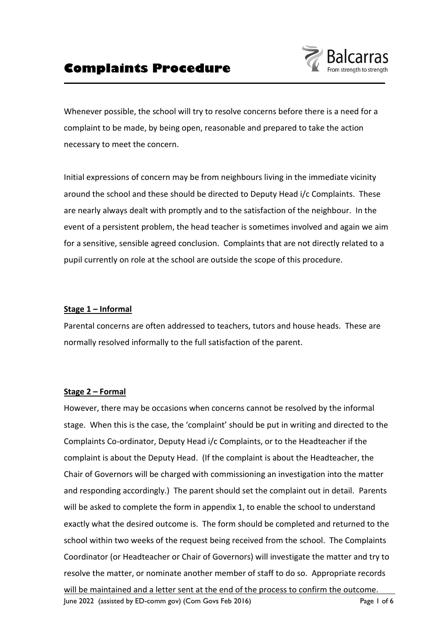

Whenever possible, the school will try to resolve concerns before there is a need for a complaint to be made, by being open, reasonable and prepared to take the action necessary to meet the concern.

Initial expressions of concern may be from neighbours living in the immediate vicinity around the school and these should be directed to Deputy Head i/c Complaints. These are nearly always dealt with promptly and to the satisfaction of the neighbour. In the event of a persistent problem, the head teacher is sometimes involved and again we aim for a sensitive, sensible agreed conclusion. Complaints that are not directly related to a pupil currently on role at the school are outside the scope of this procedure.

#### **Stage 1 – Informal**

Parental concerns are often addressed to teachers, tutors and house heads. These are normally resolved informally to the full satisfaction of the parent.

#### **Stage 2 – Formal**

However, there may be occasions when concerns cannot be resolved by the informal stage. When this is the case, the 'complaint' should be put in writing and directed to the Complaints Co-ordinator, Deputy Head i/c Complaints, or to the Headteacher if the complaint is about the Deputy Head. (If the complaint is about the Headteacher, the Chair of Governors will be charged with commissioning an investigation into the matter and responding accordingly.) The parent should set the complaint out in detail. Parents will be asked to complete the form in appendix 1, to enable the school to understand exactly what the desired outcome is. The form should be completed and returned to the school within two weeks of the request being received from the school. The Complaints Coordinator (or Headteacher or Chair of Governors) will investigate the matter and try to resolve the matter, or nominate another member of staff to do so. Appropriate records will be maintained and a letter sent at the end of the process to confirm the outcome.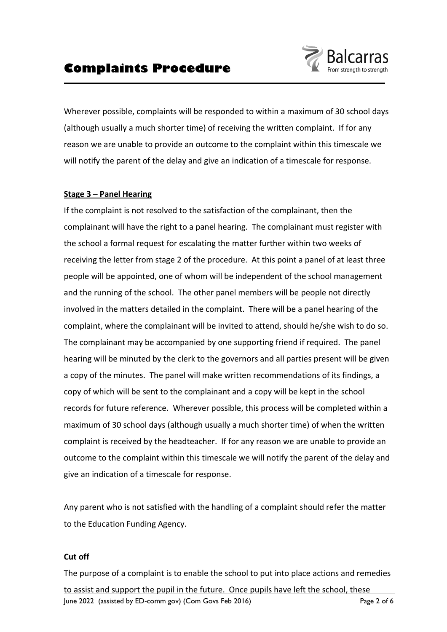

Wherever possible, complaints will be responded to within a maximum of 30 school days (although usually a much shorter time) of receiving the written complaint. If for any reason we are unable to provide an outcome to the complaint within this timescale we will notify the parent of the delay and give an indication of a timescale for response.

#### **Stage 3 – Panel Hearing**

If the complaint is not resolved to the satisfaction of the complainant, then the complainant will have the right to a panel hearing. The complainant must register with the school a formal request for escalating the matter further within two weeks of receiving the letter from stage 2 of the procedure. At this point a panel of at least three people will be appointed, one of whom will be independent of the school management and the running of the school. The other panel members will be people not directly involved in the matters detailed in the complaint. There will be a panel hearing of the complaint, where the complainant will be invited to attend, should he/she wish to do so. The complainant may be accompanied by one supporting friend if required. The panel hearing will be minuted by the clerk to the governors and all parties present will be given a copy of the minutes. The panel will make written recommendations of its findings, a copy of which will be sent to the complainant and a copy will be kept in the school records for future reference. Wherever possible, this process will be completed within a maximum of 30 school days (although usually a much shorter time) of when the written complaint is received by the headteacher. If for any reason we are unable to provide an outcome to the complaint within this timescale we will notify the parent of the delay and give an indication of a timescale for response.

Any parent who is not satisfied with the handling of a complaint should refer the matter to the Education Funding Agency.

### **Cut off**

June 2022 (assisted by ED-comm gov) (Com Govs Feb 2016) Page 2 of 6 The purpose of a complaint is to enable the school to put into place actions and remedies to assist and support the pupil in the future. Once pupils have left the school, these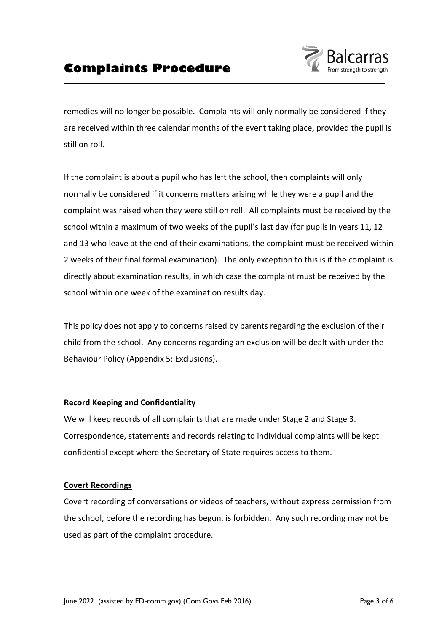

remedies will no longer be possible. Complaints will only normally be considered if they are received within three calendar months of the event taking place, provided the pupil is still on roll.

If the complaint is about a pupil who has left the school, then complaints will only normally be considered if it concerns matters arising while they were a pupil and the complaint was raised when they were still on roll. All complaints must be received by the school within a maximum of two weeks of the pupil's last day (for pupils in years 11, 12 and 13 who leave at the end of their examinations, the complaint must be received within 2 weeks of their final formal examination). The only exception to this is if the complaint is directly about examination results, in which case the complaint must be received by the school within one week of the examination results day.

This policy does not apply to concerns raised by parents regarding the exclusion of their child from the school. Any concerns regarding an exclusion will be dealt with under the Behaviour Policy (Appendix 5: Exclusions).

#### **Record Keeping and Confidentiality**

We will keep records of all complaints that are made under Stage 2 and Stage 3. Correspondence, statements and records relating to individual complaints will be kept confidential except where the Secretary of State requires access to them.

#### **Covert Recordings**

Covert recording of conversations or videos of teachers, without express permission from the school, before the recording has begun, is forbidden. Any such recording may not be used as part of the complaint procedure.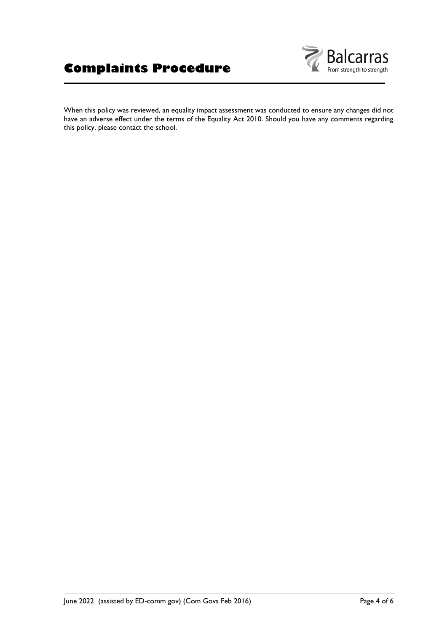

When this policy was reviewed, an equality impact assessment was conducted to ensure any changes did not have an adverse effect under the terms of the Equality Act 2010. Should you have any comments regarding this policy, please contact the school.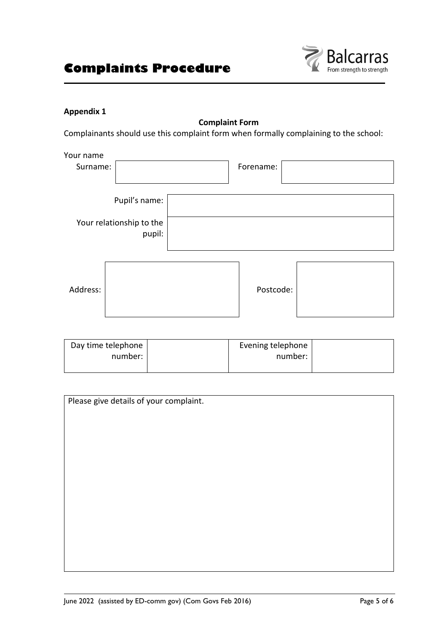

### **Appendix 1**

**Complaint Form** Complainants should use this complaint form when formally complaining to the school:

| Your name<br>Surname: |                                                     | Forename: |  |
|-----------------------|-----------------------------------------------------|-----------|--|
|                       | Pupil's name:<br>Your relationship to the<br>pupil: |           |  |
| Address:              |                                                     | Postcode: |  |

| Day time telephone | Evening telephone |  |
|--------------------|-------------------|--|
| number:            | number:           |  |
|                    |                   |  |

| Please give details of your complaint. |  |  |  |  |
|----------------------------------------|--|--|--|--|
|                                        |  |  |  |  |
|                                        |  |  |  |  |
|                                        |  |  |  |  |
|                                        |  |  |  |  |
|                                        |  |  |  |  |
|                                        |  |  |  |  |
|                                        |  |  |  |  |
|                                        |  |  |  |  |
|                                        |  |  |  |  |
|                                        |  |  |  |  |
|                                        |  |  |  |  |
|                                        |  |  |  |  |
|                                        |  |  |  |  |
|                                        |  |  |  |  |
|                                        |  |  |  |  |
|                                        |  |  |  |  |
|                                        |  |  |  |  |
|                                        |  |  |  |  |
|                                        |  |  |  |  |
|                                        |  |  |  |  |
|                                        |  |  |  |  |
|                                        |  |  |  |  |
|                                        |  |  |  |  |
|                                        |  |  |  |  |
|                                        |  |  |  |  |
|                                        |  |  |  |  |
|                                        |  |  |  |  |